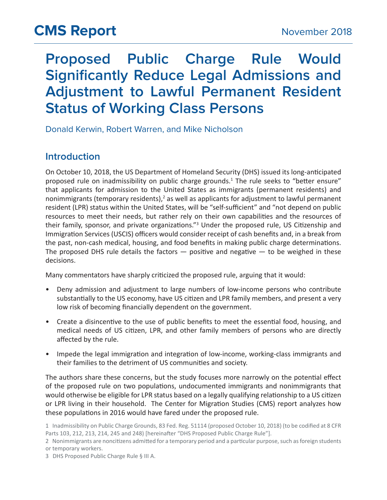# **Proposed Public Charge Rule Would Significantly Reduce Legal Admissions and Adjustment to Lawful Permanent Resident Status of Working Class Persons**

Donald Kerwin, Robert Warren, and Mike Nicholson

## **Introduction**

On October 10, 2018, the US Department of Homeland Security (DHS) issued its long-anticipated proposed rule on inadmissibility on public charge grounds.<sup>1</sup> The rule seeks to "better ensure" that applicants for admission to the United States as immigrants (permanent residents) and nonimmigrants (temporary residents),<sup>2</sup> as well as applicants for adjustment to lawful permanent resident (LPR) status within the United States, will be "self-sufficient" and "not depend on public resources to meet their needs, but rather rely on their own capabilities and the resources of their family, sponsor, and private organizations."<sup>3</sup> Under the proposed rule, US Citizenship and Immigration Services (USCIS) officers would consider receipt of cash benefits and, in a break from the past, non-cash medical, housing, and food benefits in making public charge determinations. The proposed DHS rule details the factors  $-$  positive and negative  $-$  to be weighed in these decisions.

Many commentators have sharply criticized the proposed rule, arguing that it would:

- Deny admission and adjustment to large numbers of low-income persons who contribute substantially to the US economy, have US citizen and LPR family members, and present a very low risk of becoming financially dependent on the government.
- Create a disincentive to the use of public benefits to meet the essential food, housing, and medical needs of US citizen, LPR, and other family members of persons who are directly affected by the rule.
- Impede the legal immigration and integration of low-income, working-class immigrants and their families to the detriment of US communities and society.

The authors share these concerns, but the study focuses more narrowly on the potential effect of the proposed rule on two populations, undocumented immigrants and nonimmigrants that would otherwise be eligible for LPR status based on a legally qualifying relationship to a US citizen or LPR living in their household. The Center for Migration Studies (CMS) report analyzes how these populations in 2016 would have fared under the proposed rule.

<sup>1</sup> Inadmissibility on Public Charge Grounds, 83 Fed. Reg. 51114 (proposed October 10, 2018) (to be codified at 8 CFR Parts 103, 212, 213, 214, 245 and 248) [hereinafter "DHS Proposed Public Charge Rule"].

<sup>2</sup> Nonimmigrants are noncitizens admitted for a temporary period and a particular purpose, such as foreign students or temporary workers.

<sup>3</sup> DHS Proposed Public Charge Rule § III A.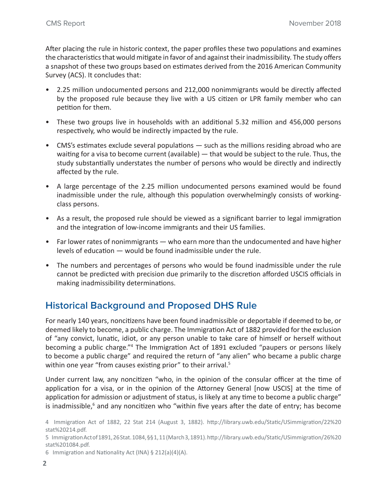After placing the rule in historic context, the paper profiles these two populations and examines the characteristics that would mitigate in favor of and against their inadmissibility. The study offers a snapshot of these two groups based on estimates derived from the 2016 American Community Survey (ACS). It concludes that:

- 2.25 million undocumented persons and 212,000 nonimmigrants would be directly affected by the proposed rule because they live with a US citizen or LPR family member who can petition for them.
- These two groups live in households with an additional 5.32 million and 456,000 persons respectively, who would be indirectly impacted by the rule.
- CMS's estimates exclude several populations such as the millions residing abroad who are waiting for a visa to become current (available) — that would be subject to the rule. Thus, the study substantially understates the number of persons who would be directly and indirectly affected by the rule.
- A large percentage of the 2.25 million undocumented persons examined would be found inadmissible under the rule, although this population overwhelmingly consists of workingclass persons.
- As a result, the proposed rule should be viewed as a significant barrier to legal immigration and the integration of low-income immigrants and their US families.
- Far lower rates of nonimmigrants who earn more than the undocumented and have higher levels of education — would be found inadmissible under the rule.
- The numbers and percentages of persons who would be found inadmissible under the rule cannot be predicted with precision due primarily to the discretion afforded USCIS officials in making inadmissibility determinations.

## **Historical Background and Proposed DHS Rule**

For nearly 140 years, noncitizens have been found inadmissible or deportable if deemed to be, or deemed likely to become, a public charge. The Immigration Act of 1882 provided for the exclusion of "any convict, lunatic, idiot, or any person unable to take care of himself or herself without becoming a public charge."4 The Immigration Act of 1891 excluded "paupers or persons likely to become a public charge" and required the return of "any alien" who became a public charge within one year "from causes existing prior" to their arrival.<sup>5</sup>

Under current law, any noncitizen "who, in the opinion of the consular officer at the time of application for a visa, or in the opinion of the Attorney General [now USCIS] at the time of application for admission or adjustment of status, is likely at any time to become a public charge" is inadmissible,<sup>6</sup> and any noncitizen who "within five years after the date of entry; has become

6   Immigration and Nationality Act (INA) § 212(a)(4)(A).

<sup>4</sup> Immigration Act of 1882, 22 Stat 214 (August 3, 1882). http://library.uwb.edu/Static/USimmigration/22%20 stat%20214.pdf.

<sup>5</sup> Immigration Act of 1891, 26 Stat. 1084, §§ 1, 11 (March 3, 1891). http://library.uwb.edu/Static/USimmigration/26%20 stat%201084.pdf.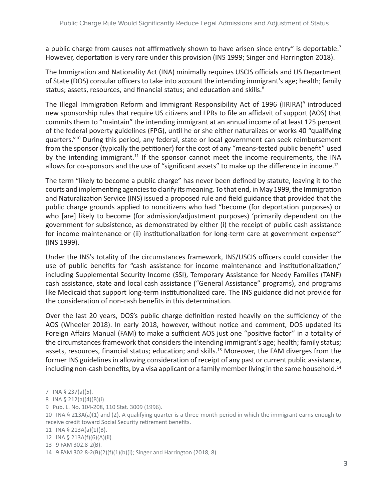a public charge from causes not affirmatively shown to have arisen since entry" is deportable.<sup>7</sup> However, deportation is very rare under this provision (INS 1999; Singer and Harrington 2018).

The Immigration and Nationality Act (INA) minimally requires USCIS officials and US Department of State (DOS) consular officers to take into account the intending immigrant's age; health; family status; assets, resources, and financial status; and education and skills.<sup>8</sup>

The Illegal Immigration Reform and Immigrant Responsibility Act of 1996 (IIRIRA)<sup>9</sup> introduced new sponsorship rules that require US citizens and LPRs to file an affidavit of support (AOS) that commits them to "maintain" the intending immigrant at an annual income of at least 125 percent of the federal poverty guidelines (FPG), until he or she either naturalizes or works 40 "qualifying quarters."10 During this period, any federal, state or local government can seek reimbursement from the sponsor (typically the petitioner) for the cost of any "means-tested public benefit" used by the intending immigrant.<sup>11</sup> If the sponsor cannot meet the income requirements, the INA allows for co-sponsors and the use of "significant assets" to make up the difference in income.<sup>12</sup>

The term "likely to become a public charge" has never been defined by statute, leaving it to the courts and implementing agencies to clarify its meaning. To that end, in May 1999, the Immigration and Naturalization Service (INS) issued a proposed rule and field guidance that provided that the public charge grounds applied to noncitizens who had "become (for deportation purposes) or who [are] likely to become (for admission/adjustment purposes) 'primarily dependent on the government for subsistence, as demonstrated by either (i) the receipt of public cash assistance for income maintenance or (ii) institutionalization for long-term care at government expense'" (INS 1999).

Under the INS's totality of the circumstances framework, INS/USCIS officers could consider the use of public benefits for "cash assistance for income maintenance and institutionalization," including Supplemental Security Income (SSI), Temporary Assistance for Needy Families (TANF) cash assistance, state and local cash assistance ("General Assistance" programs), and programs like Medicaid that support long-term institutionalized care. The INS guidance did not provide for the consideration of non-cash benefits in this determination.

Over the last 20 years, DOS's public charge definition rested heavily on the sufficiency of the AOS (Wheeler 2018). In early 2018, however, without notice and comment, DOS updated its Foreign Affairs Manual (FAM) to make a sufficient AOS just one "positive factor" in a totality of the circumstances framework that considers the intending immigrant's age; health; family status; assets, resources, financial status; education; and skills.<sup>13</sup> Moreover, the FAM diverges from the former INS guidelines in allowing consideration of receipt of any past or current public assistance, including non-cash benefits, by a visa applicant or a family member living in the same household.<sup>14</sup>

- 8   INA § 212(a)(4)(B)(i).
- 9   Pub. L. No. 104-208, 110 Stat. 3009 (1996).

13   9 FAM 302.8-2(B).

<sup>7</sup> INA § 237(a)(5).

<sup>10</sup> INA § 213A(a)(1) and (2). A qualifying quarter is a three-month period in which the immigrant earns enough to receive credit toward Social Security retirement benefits.

<sup>11</sup> INA § 213A(a)(1)(B).

<sup>12</sup> INA § 213A(f)(6)(A)(ii).

<sup>14   9</sup> FAM 302.8-2(B)(2)(f)(1)(b)(i); Singer and Harrington (2018, 8).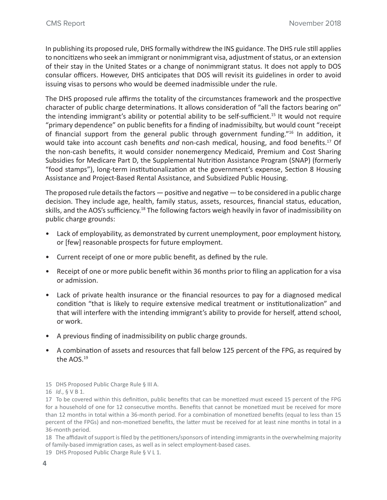In publishing its proposed rule, DHS formally withdrew the INS guidance. The DHS rule still applies to noncitizens who seek an immigrant or nonimmigrant visa, adjustment of status, or an extension of their stay in the United States or a change of nonimmigrant status. It does not apply to DOS consular officers. However, DHS anticipates that DOS will revisit its guidelines in order to avoid issuing visas to persons who would be deemed inadmissible under the rule.

The DHS proposed rule affirms the totality of the circumstances framework and the prospective character of public charge determinations. It allows consideration of "all the factors bearing on" the intending immigrant's ability or potential ability to be self-sufficient.<sup>15</sup> It would not require "primary dependence" on public benefits for a finding of inadmissibilty, but would count "receipt of financial support from the general public through government funding."16 In addition, it would take into account cash benefits *and* non-cash medical, housing, and food benefits.17 Of the non-cash benefits, it would consider nonemergency Medicaid, Premium and Cost Sharing Subsidies for Medicare Part D, the Supplemental Nutrition Assistance Program (SNAP) (formerly "food stamps"), long-term institutionalization at the government's expense, Section 8 Housing Assistance and Project-Based Rental Assistance, and Subsidized Public Housing.

The proposed rule details the factors — positive and negative — to be considered in a public charge decision. They include age, health, family status, assets, resources, financial status, education, skills, and the AOS's sufficiency.18 The following factors weigh heavily in favor of inadmissibility on public charge grounds:

- Lack of employability, as demonstrated by current unemployment, poor employment history, or [few] reasonable prospects for future employment.
- Current receipt of one or more public benefit, as defined by the rule.
- Receipt of one or more public benefit within 36 months prior to filing an application for a visa or admission.
- Lack of private health insurance or the financial resources to pay for a diagnosed medical condition "that is likely to require extensive medical treatment or institutionalization" and that will interfere with the intending immigrant's ability to provide for herself, attend school, or work.
- A previous finding of inadmissibility on public charge grounds.
- A combination of assets and resources that fall below 125 percent of the FPG, as required by the AOS.19
- 15   DHS Proposed Public Charge Rule § III A.

18   The affidavit of support is filed by the petitioners/sponsors of intending immigrants in the overwhelming majority of family-based immigration cases, as well as in select employment-based cases.

19   DHS Proposed Public Charge Rule § V L 1.

<sup>16</sup> *Id*., § V B 1.

<sup>17</sup> To be covered within this definition, public benefits that can be monetized must exceed 15 percent of the FPG for a household of one for 12 consecutive months. Benefits that cannot be monetized must be received for more than 12 months in total within a 36-month period. For a combination of monetized benefits (equal to less than 15 percent of the FPGs) and non-monetized benefits, the latter must be received for at least nine months in total in a 36-month period.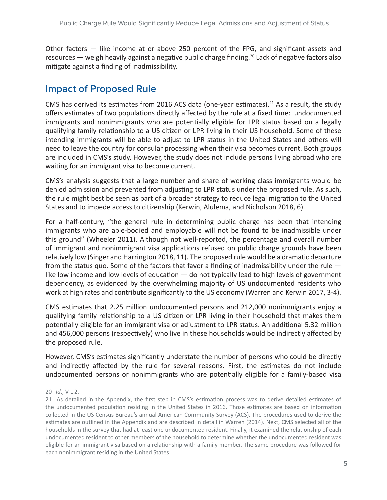Other factors — like income at or above 250 percent of the FPG, and significant assets and resources — weigh heavily against a negative public charge finding.<sup>20</sup> Lack of negative factors also mitigate against a finding of inadmissibility.

## **Impact of Proposed Rule**

CMS has derived its estimates from 2016 ACS data (one-year estimates).<sup>21</sup> As a result, the study offers estimates of two populations directly affected by the rule at a fixed time: undocumented immigrants and nonimmigrants who are potentially eligible for LPR status based on a legally qualifying family relationship to a US citizen or LPR living in their US household. Some of these intending immigrants will be able to adjust to LPR status in the United States and others will need to leave the country for consular processing when their visa becomes current. Both groups are included in CMS's study. However, the study does not include persons living abroad who are waiting for an immigrant visa to become current.

CMS's analysis suggests that a large number and share of working class immigrants would be denied admission and prevented from adjusting to LPR status under the proposed rule. As such, the rule might best be seen as part of a broader strategy to reduce legal migration to the United States and to impede access to citizenship (Kerwin, Alulema, and Nicholson 2018, 6).

For a half-century, "the general rule in determining public charge has been that intending immigrants who are able-bodied and employable will not be found to be inadmissible under this ground" (Wheeler 2011). Although not well-reported, the percentage and overall number of immigrant and nonimmigrant visa applications refused on public charge grounds have been relatively low (Singer and Harrington 2018, 11). The proposed rule would be a dramatic departure from the status quo. Some of the factors that favor a finding of inadmissibility under the rule like low income and low levels of education — do not typically lead to high levels of government dependency, as evidenced by the overwhelming majority of US undocumented residents who work at high rates and contribute significantly to the US economy (Warren and Kerwin 2017, 3-4).

CMS estimates that 2.25 million undocumented persons and 212,000 nonimmigrants enjoy a qualifying family relationship to a US citizen or LPR living in their household that makes them potentially eligible for an immigrant visa or adjustment to LPR status. An additional 5.32 million and 456,000 persons (respectively) who live in these households would be indirectly affected by the proposed rule.

However, CMS's estimates significantly understate the number of persons who could be directly and indirectly affected by the rule for several reasons. First, the estimates do not include undocumented persons or nonimmigrants who are potentially eligible for a family-based visa

#### 20   *Id*., V L 2.

21   As detailed in the Appendix, the first step in CMS's estimation process was to derive detailed estimates of the undocumented population residing in the United States in 2016. Those estimates are based on information collected in the US Census Bureau's annual American Community Survey (ACS). The procedures used to derive the estimates are outlined in the Appendix and are described in detail in Warren (2014). Next, CMS selected all of the households in the survey that had at least one undocumented resident. Finally, it examined the relationship of each undocumented resident to other members of the household to determine whether the undocumented resident was eligible for an immigrant visa based on a relationship with a family member. The same procedure was followed for each nonimmigrant residing in the United States.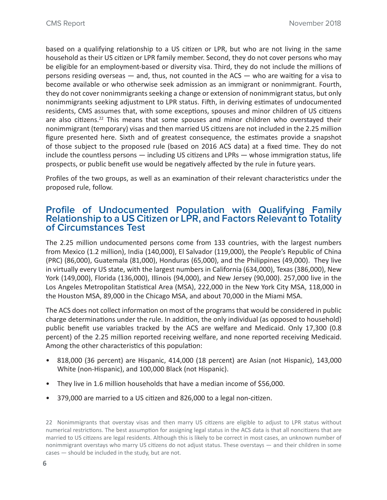based on a qualifying relationship to a US citizen or LPR, but who are not living in the same household as their US citizen or LPR family member. Second, they do not cover persons who may be eligible for an employment-based or diversity visa. Third, they do not include the millions of persons residing overseas — and, thus, not counted in the ACS — who are waiting for a visa to become available or who otherwise seek admission as an immigrant or nonimmigrant. Fourth, they do not cover nonimmigrants seeking a change or extension of nonimmigrant status, but only nonimmigrants seeking adjustment to LPR status. Fifth, in deriving estimates of undocumented residents, CMS assumes that, with some exceptions, spouses and minor children of US citizens are also citizens.<sup>22</sup> This means that some spouses and minor children who overstayed their nonimmigrant (temporary) visas and then married US citizens are not included in the 2.25 million figure presented here. Sixth and of greatest consequence, the estimates provide a snapshot of those subject to the proposed rule (based on 2016 ACS data) at a fixed time. They do not include the countless persons — including US citizens and LPRs — whose immigration status, life prospects, or public benefit use would be negatively affected by the rule in future years.

Profiles of the two groups, as well as an examination of their relevant characteristics under the proposed rule, follow.

#### **Profile of Undocumented Population with Qualifying Family Relationship to a US Citizen or LPR, and Factors Relevant to Totality of Circumstances Test**

The 2.25 million undocumented persons come from 133 countries, with the largest numbers from Mexico (1.2 million), India (140,000), El Salvador (119,000), the People's Republic of China (PRC) (86,000), Guatemala (81,000), Honduras (65,000), and the Philippines (49,000). They live in virtually every US state, with the largest numbers in California (634,000), Texas (386,000), New York (149,000), Florida (136,000), Illinois (94,000), and New Jersey (90,000). 257,000 live in the Los Angeles Metropolitan Statistical Area (MSA), 222,000 in the New York City MSA, 118,000 in the Houston MSA, 89,000 in the Chicago MSA, and about 70,000 in the Miami MSA.

The ACS does not collect information on most of the programs that would be considered in public charge determinations under the rule. In addition, the only individual (as opposed to household) public benefit use variables tracked by the ACS are welfare and Medicaid. Only 17,300 (0.8 percent) of the 2.25 million reported receiving welfare, and none reported receiving Medicaid. Among the other characteristics of this population:

- 818,000 (36 percent) are Hispanic, 414,000 (18 percent) are Asian (not Hispanic), 143,000 White (non-Hispanic), and 100,000 Black (not Hispanic).
- They live in 1.6 million households that have a median income of \$56,000.
- 379,000 are married to a US citizen and 826,000 to a legal non-citizen.

22   Nonimmigrants that overstay visas and then marry US citizens are eligible to adjust to LPR status without numerical restrictions. The best assumption for assigning legal status in the ACS data is that all noncitizens that are married to US citizens are legal residents. Although this is likely to be correct in most cases, an unknown number of nonimmigrant overstays who marry US citizens do not adjust status. These overstays — and their children in some cases — should be included in the study, but are not.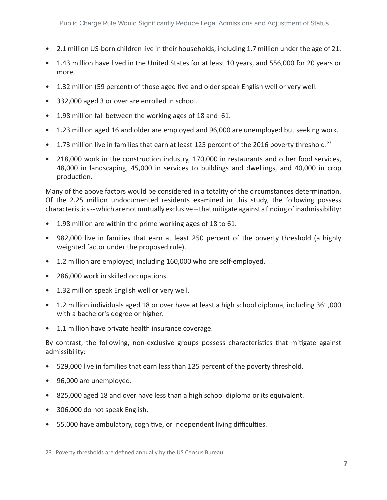- 2.1 million US-born children live in their households, including 1.7 million under the age of 21.
- 1.43 million have lived in the United States for at least 10 years, and 556,000 for 20 years or more.
- 1.32 million (59 percent) of those aged five and older speak English well or very well.
- 332,000 aged 3 or over are enrolled in school.
- 1.98 million fall between the working ages of 18 and 61.
- 1.23 million aged 16 and older are employed and 96,000 are unemployed but seeking work.
- 1.73 million live in families that earn at least 125 percent of the 2016 poverty threshold.<sup>23</sup>
- 218,000 work in the construction industry, 170,000 in restaurants and other food services, 48,000 in landscaping, 45,000 in services to buildings and dwellings, and 40,000 in crop production.

Many of the above factors would be considered in a totality of the circumstances determination. Of the 2.25 million undocumented residents examined in this study, the following possess characteristics -- which are not mutually exclusive – that mitigate against a finding of inadmissibility:

- 1.98 million are within the prime working ages of 18 to 61.
- 982,000 live in families that earn at least 250 percent of the poverty threshold (a highly weighted factor under the proposed rule).
- 1.2 million are employed, including 160,000 who are self-employed.
- 286,000 work in skilled occupations.
- 1.32 million speak English well or very well.
- 1.2 million individuals aged 18 or over have at least a high school diploma, including 361,000 with a bachelor's degree or higher.
- 1.1 million have private health insurance coverage.

By contrast, the following, non-exclusive groups possess characteristics that mitigate against admissibility:

- 529,000 live in families that earn less than 125 percent of the poverty threshold.
- 96,000 are unemployed.
- 825,000 aged 18 and over have less than a high school diploma or its equivalent.
- 306,000 do not speak English.
- 55,000 have ambulatory, cognitive, or independent living difficulties.

23   Poverty thresholds are defined annually by the US Census Bureau.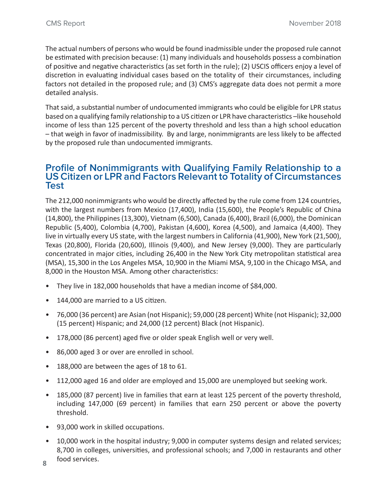The actual numbers of persons who would be found inadmissible under the proposed rule cannot be estimated with precision because: (1) many individuals and households possess a combination of positive and negative characteristics (as set forth in the rule); (2) USCIS officers enjoy a level of discretion in evaluating individual cases based on the totality of their circumstances, including factors not detailed in the proposed rule; and (3) CMS's aggregate data does not permit a more detailed analysis.

That said, a substantial number of undocumented immigrants who could be eligible for LPR status based on a qualifying family relationship to a US citizen or LPR have characteristics –like household income of less than 125 percent of the poverty threshold and less than a high school education – that weigh in favor of inadmissibility. By and large, nonimmigrants are less likely to be affected by the proposed rule than undocumented immigrants.

### **Profile of Nonimmigrants with Qualifying Family Relationship to a US Citizen or LPR and Factors Relevant to Totality of Circumstances Test**

The 212,000 nonimmigrants who would be directly affected by the rule come from 124 countries, with the largest numbers from Mexico (17,400), India (15,600), the People's Republic of China (14,800), the Philippines (13,300), Vietnam (6,500), Canada (6,400), Brazil (6,000), the Dominican Republic (5,400), Colombia (4,700), Pakistan (4,600), Korea (4,500), and Jamaica (4,400). They live in virtually every US state, with the largest numbers in California (41,900), New York (21,500), Texas (20,800), Florida (20,600), Illinois (9,400), and New Jersey (9,000). They are particularly concentrated in major cities, including 26,400 in the New York City metropolitan statistical area (MSA), 15,300 in the Los Angeles MSA, 10,900 in the Miami MSA, 9,100 in the Chicago MSA, and 8,000 in the Houston MSA. Among other characteristics:

- They live in 182,000 households that have a median income of \$84,000.
- 144,000 are married to a US citizen.
- 76,000 (36 percent) are Asian (not Hispanic); 59,000 (28 percent) White (not Hispanic); 32,000 (15 percent) Hispanic; and 24,000 (12 percent) Black (not Hispanic).
- 178,000 (86 percent) aged five or older speak English well or very well.
- 86,000 aged 3 or over are enrolled in school.
- 188,000 are between the ages of 18 to 61.
- 112,000 aged 16 and older are employed and 15,000 are unemployed but seeking work.
- 185,000 (87 percent) live in families that earn at least 125 percent of the poverty threshold, including 147,000 (69 percent) in families that earn 250 percent or above the poverty threshold.
- 93,000 work in skilled occupations.
- 10,000 work in the hospital industry; 9,000 in computer systems design and related services; 8,700 in colleges, universities, and professional schools; and 7,000 in restaurants and other food services.
- **8**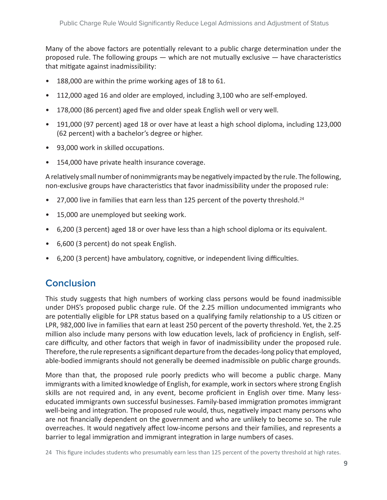Many of the above factors are potentially relevant to a public charge determination under the proposed rule. The following groups  $-$  which are not mutually exclusive  $-$  have characteristics that mitigate against inadmissibility:

- 188,000 are within the prime working ages of 18 to 61.
- 112,000 aged 16 and older are employed, including 3,100 who are self-employed.
- 178,000 (86 percent) aged five and older speak English well or very well.
- 191,000 (97 percent) aged 18 or over have at least a high school diploma, including 123,000 (62 percent) with a bachelor's degree or higher.
- 93,000 work in skilled occupations.
- 154,000 have private health insurance coverage.

A relatively small number of nonimmigrants may be negatively impacted by the rule. The following, non-exclusive groups have characteristics that favor inadmissibility under the proposed rule:

- 27,000 live in families that earn less than 125 percent of the poverty threshold.<sup>24</sup>
- 15,000 are unemployed but seeking work.
- 6,200 (3 percent) aged 18 or over have less than a high school diploma or its equivalent.
- 6,600 (3 percent) do not speak English.
- 6,200 (3 percent) have ambulatory, cognitive, or independent living difficulties.

## **Conclusion**

This study suggests that high numbers of working class persons would be found inadmissible under DHS's proposed public charge rule. Of the 2.25 million undocumented immigrants who are potentially eligible for LPR status based on a qualifying family relationship to a US citizen or LPR, 982,000 live in families that earn at least 250 percent of the poverty threshold. Yet, the 2.25 million also include many persons with low education levels, lack of proficiency in English, selfcare difficulty, and other factors that weigh in favor of inadmissibility under the proposed rule. Therefore, the rule represents a significant departure from the decades-long policy that employed, able-bodied immigrants should not generally be deemed inadmissible on public charge grounds.

More than that, the proposed rule poorly predicts who will become a public charge. Many immigrants with a limited knowledge of English, for example, work in sectors where strong English skills are not required and, in any event, become proficient in English over time. Many lesseducated immigrants own successful businesses. Family-based immigration promotes immigrant well-being and integration. The proposed rule would, thus, negatively impact many persons who are not financially dependent on the government and who are unlikely to become so. The rule overreaches. It would negatively affect low-income persons and their families, and represents a barrier to legal immigration and immigrant integration in large numbers of cases.

24   This figure includes students who presumably earn less than 125 percent of the poverty threshold at high rates.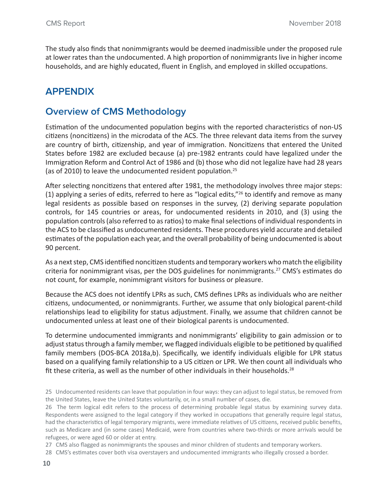The study also finds that nonimmigrants would be deemed inadmissible under the proposed rule at lower rates than the undocumented. A high proportion of nonimmigrants live in higher income households, and are highly educated, fluent in English, and employed in skilled occupations.

## **APPENDIX**

## **Overview of CMS Methodology**

Estimation of the undocumented population begins with the reported characteristics of non-US citizens (noncitizens) in the microdata of the ACS. The three relevant data items from the survey are country of birth, citizenship, and year of immigration. Noncitizens that entered the United States before 1982 are excluded because (a) pre-1982 entrants could have legalized under the Immigration Reform and Control Act of 1986 and (b) those who did not legalize have had 28 years (as of 2010) to leave the undocumented resident population.25

After selecting noncitizens that entered after 1981, the methodology involves three major steps: (1) applying a series of edits, referred to here as "logical edits," $26$  to identify and remove as many legal residents as possible based on responses in the survey, (2) deriving separate population controls, for 145 countries or areas, for undocumented residents in 2010, and (3) using the population controls (also referred to as ratios) to make final selections of individual respondents in the ACS to be classified as undocumented residents. These procedures yield accurate and detailed estimates of the population each year, and the overall probability of being undocumented is about 90 percent.

As a next step, CMS identified noncitizen students and temporary workers who match the eligibility criteria for nonimmigrant visas, per the DOS guidelines for nonimmigrants.<sup>27</sup> CMS's estimates do not count, for example, nonimmigrant visitors for business or pleasure.

Because the ACS does not identify LPRs as such, CMS defines LPRs as individuals who are neither citizens, undocumented, or nonimmigrants. Further, we assume that only biological parent-child relationships lead to eligibility for status adjustment. Finally, we assume that children cannot be undocumented unless at least one of their biological parents is undocumented.

To determine undocumented immigrants and nonimmigrants' eligibility to gain admission or to adjust status through a family member, we flagged individuals eligible to be petitioned by qualified family members (DOS-BCA 2018a,b). Specifically, we identify individuals eligible for LPR status based on a qualifying family relationship to a US citizen or LPR. We then count all individuals who fit these criteria, as well as the number of other individuals in their households. $^{28}$ 

<sup>25</sup> Undocumented residents can leave that population in four ways: they can adjust to legal status, be removed from the United States, leave the United States voluntarily, or, in a small number of cases, die.

<sup>26</sup> The term logical edit refers to the process of determining probable legal status by examining survey data. Respondents were assigned to the legal category if they worked in occupations that generally require legal status, had the characteristics of legal temporary migrants, were immediate relatives of US citizens, received public benefits, such as Medicare and (in some cases) Medicaid, were from countries where two-thirds or more arrivals would be refugees, or were aged 60 or older at entry.

<sup>27</sup> CMS also flagged as nonimmigrants the spouses and minor children of students and temporary workers.

<sup>28</sup> CMS's estimates cover both visa overstayers and undocumented immigrants who illegally crossed a border.